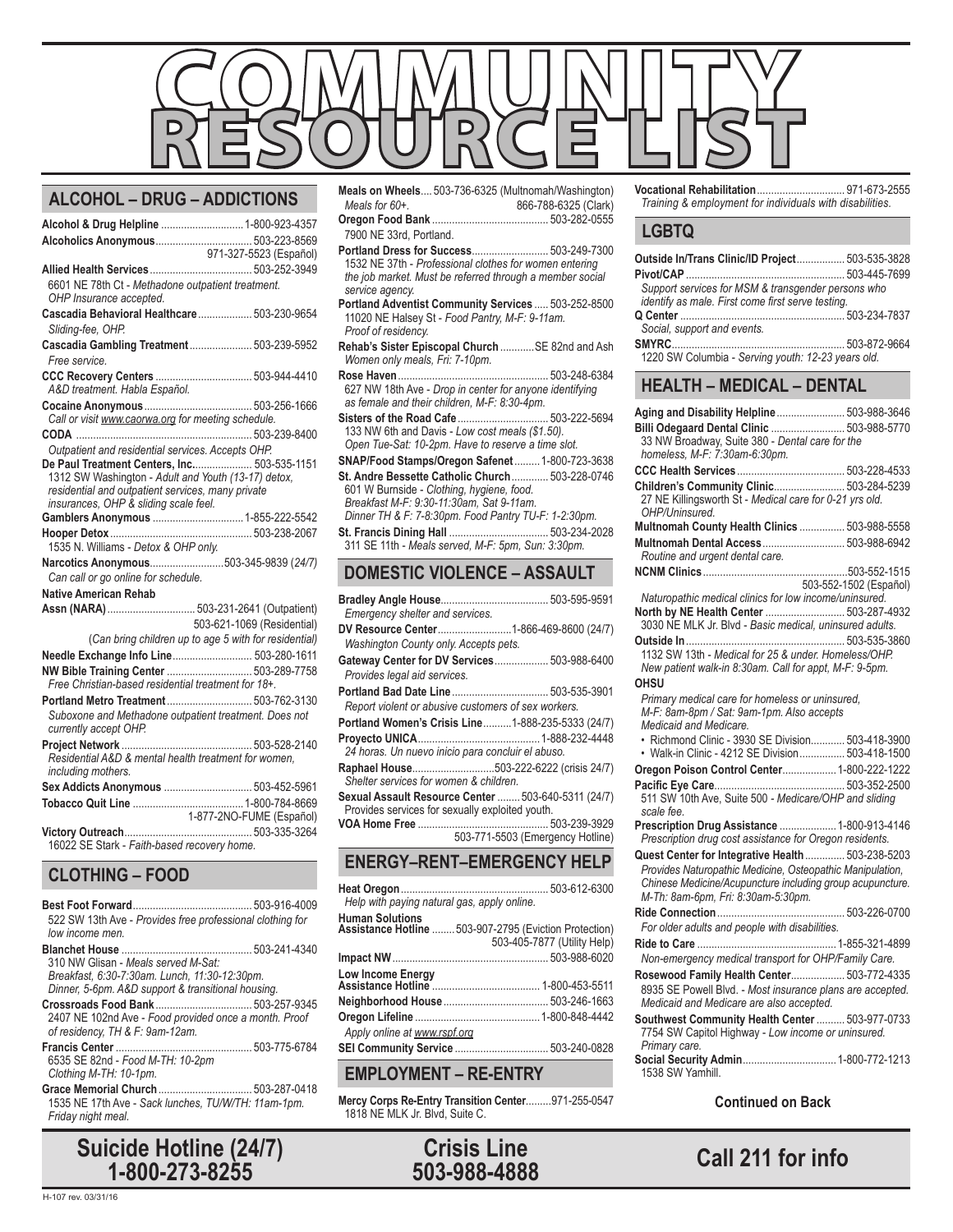

| Alcohol & Drug Helpline  1-800-923-4357                                                            |                                                       |
|----------------------------------------------------------------------------------------------------|-------------------------------------------------------|
|                                                                                                    |                                                       |
|                                                                                                    |                                                       |
| 6601 NE 78th Ct - Methadone outpatient treatment.<br>OHP Insurance accepted.                       |                                                       |
| Cascadia Behavioral Healthcare  503-230-9654<br>Sliding-fee, OHP.                                  |                                                       |
| Cascadia Gambling Treatment 503-239-5952<br>Free service.                                          |                                                       |
| A&D treatment. Habla Español.                                                                      |                                                       |
| Call or visit www.caorwa.org for meeting schedule.                                                 |                                                       |
|                                                                                                    |                                                       |
| Outpatient and residential services. Accepts OHP.                                                  |                                                       |
| De Paul Treatment Centers, Inc 503-535-1151<br>1312 SW Washington - Adult and Youth (13-17) detox. |                                                       |
| residential and outpatient services, many private<br>insurances, OHP & sliding scale feel.         |                                                       |
|                                                                                                    |                                                       |
|                                                                                                    |                                                       |
| 1535 N. Williams - Detox & OHP only.                                                               |                                                       |
| Narcotics Anonymous503-345-9839 (24/7)                                                             |                                                       |
| Can call or go online for schedule.                                                                |                                                       |
| <b>Native American Rehab</b>                                                                       |                                                       |
| Assn (NARA)  503-231-2641 (Outpatient)                                                             |                                                       |
|                                                                                                    | 503-621-1069 (Residential)                            |
|                                                                                                    | (Can bring children up to age 5 with for residential) |
| Needle Exchange Info Line 503-280-1611                                                             |                                                       |
| NW Bible Training Center  503-289-7758<br>Free Christian-based residential treatment for 18+.      |                                                       |
| Portland Metro Treatment 503-762-3130                                                              |                                                       |
| Suboxone and Methadone outpatient treatment. Does not<br>currently accept OHP.                     |                                                       |
|                                                                                                    |                                                       |
| Residential A&D & mental health treatment for women,<br>including mothers.                         |                                                       |
| Sex Addicts Anonymous  503-452-5961                                                                |                                                       |
|                                                                                                    |                                                       |
|                                                                                                    | 1-877-2NO-FUME (Español)                              |
| 16022 SE Stark - Faith-based recovery home.                                                        |                                                       |

# **CLOTHING – FOOD**

| 522 SW 13th Ave - Provides free professional clothing for<br>low income men.                                                               |  |
|--------------------------------------------------------------------------------------------------------------------------------------------|--|
| 310 NW Glisan - Meals served M-Sat:<br>Breakfast, 6:30-7:30am. Lunch, 11:30-12:30pm.<br>Dinner, 5-6pm. A&D support & transitional housing. |  |
| 2407 NE 102nd Ave - Food provided once a month. Proof<br>of residency, TH & F: 9am-12am.                                                   |  |
|                                                                                                                                            |  |

6535 SE 82nd - *Food M-TH: 10-2pm Clothing M-TH: 10-1pm.*

#### **Grace Memorial Church**................................. 503-287-0418

1535 NE 17th Ave - *Sack lunches, TU/W/TH: 11am-1pm. Friday night meal.*

# **Call 211 for info Suicide Hotline (24/7) 1-800-273-8255**

- **Portland Dress for Success**........................... 503-249-7300 1532 NE 37th - *Professional clothes for women entering the job market. Must be referred through a member social service agency.*
- **Portland Adventist Community Services** ..... 503-252-8500 11020 NE Halsey St - *Food Pantry, M-F: 9-11am. Proof of residency.*
- **Rehab's Sister Episcopal Church** ............SE 82nd and Ash *Women only meals, Fri: 7-10pm.*
- **Rose Haven**..................................................... 503-248-6384 627 NW 18th Ave - *Drop in center for anyone identifying as female and their children, M-F: 8:30-4pm.*
- **Sisters of the Road Cafe**................................ 503-222-5694 133 NW 6th and Davis - *Low cost meals (\$1.50). Open Tue-Sat: 10-2pm. Have to reserve a time slot.*
- **SNAP/Food Stamps/Oregon Safenet**.........1-800-723-3638 **St. Andre Bessette Catholic Church**............. 503-228-0746 601 W Burnside - *Clothing, hygiene, food. Breakfast M-F: 9:30-11:30am, Sat 9-11am. Dinner TH & F: 7-8:30pm. Food Pantry TU-F: 1-2:30pm.* **St. Francis Dining Hall** ................................... 503-234-2028
- 311 SE 11th *Meals served, M-F: 5pm, Sun: 3:30pm.*

## **DOMESTIC VIOLENCE – ASSAULT**

| Emergency shelter and services.                                                                        |                                  |
|--------------------------------------------------------------------------------------------------------|----------------------------------|
| DV Resource Center1-866-469-8600 (24/7)                                                                |                                  |
| Washington County only. Accepts pets.                                                                  |                                  |
| Gateway Center for DV Services 503-988-6400                                                            |                                  |
| Provides legal aid services.                                                                           |                                  |
| Portland Bad Date Line  503-535-3901                                                                   |                                  |
| Report violent or abusive customers of sex workers.                                                    |                                  |
| Portland Women's Crisis Line1-888-235-5333 (24/7)                                                      |                                  |
|                                                                                                        |                                  |
| Raphael House503-222-6222 (crisis 24/7)<br>Shelter services for women & children.                      |                                  |
| Sexual Assault Resource Center  503-640-5311 (24/7)<br>Provides services for sexually exploited youth. |                                  |
|                                                                                                        |                                  |
|                                                                                                        | 503-771-5503 (Emergency Hotline) |
| <b>ENERGY-RENT-EMERGENCY HELP</b>                                                                      |                                  |
| <b>Uast Organs</b>                                                                                     | END E1D EDNA                     |

| Help with paying natural gas, apply online. |                                                                                       |
|---------------------------------------------|---------------------------------------------------------------------------------------|
| <b>Human Solutions</b>                      | Assistance Hotline  503-907-2795 (Eviction Protection)<br>503-405-7877 (Utility Help) |
|                                             |                                                                                       |
|                                             |                                                                                       |
|                                             |                                                                                       |
|                                             |                                                                                       |

# **EMPLOYMENT – RE-ENTRY**

*Apply online at www.rspf.org*

**Mercy Corps Re-Entry Transition Center**.........971-255-0547 1818 NE MLK Jr. Blvd, Suite C.

**SEI Community Service** ................................. 503-240-0828



#### **Vocational Rehabilitation**............................... 971-673-2555 *Training & employment for individuals with disabilities.*

### **LGBTQ**

| Outside In/Trans Clinic/ID Project 503-535-3828<br>Support services for MSM & transgender persons who<br>identify as male. First come first serve testing.                                                        |                        |
|-------------------------------------------------------------------------------------------------------------------------------------------------------------------------------------------------------------------|------------------------|
| Social, support and events.                                                                                                                                                                                       |                        |
| <b>HEALTH - MEDICAL - DENTAL</b>                                                                                                                                                                                  |                        |
| Aging and Disability Helpline  503-988-3646                                                                                                                                                                       |                        |
| Billi Odegaard Dental Clinic  503-988-5770<br>33 NW Broadway, Suite 380 - Dental care for the<br>homeless, M-F: 7:30am-6:30pm.                                                                                    |                        |
|                                                                                                                                                                                                                   |                        |
| Children's Community Clinic 503-284-5239<br>27 NE Killingsworth St - Medical care for 0-21 yrs old.<br>OHP/Uninsured.                                                                                             |                        |
| Multnomah County Health Clinics  503-988-5558                                                                                                                                                                     |                        |
| Multnomah Dental Access 503-988-6942<br>Routine and urgent dental care.                                                                                                                                           |                        |
|                                                                                                                                                                                                                   |                        |
| Naturopathic medical clinics for low income/uninsured.<br>North by NE Health Center  503-287-4932<br>3030 NE MLK Jr. Blvd - Basic medical, uninsured adults.                                                      | 503-552-1502 (Español) |
| New patient walk-in 8:30am. Call for appt, M-F: 9-5pm.<br>OHSU                                                                                                                                                    |                        |
| Primary medical care for homeless or uninsured,<br>M-F: 8am-8pm / Sat: 9am-1pm. Also accepts<br>Medicaid and Medicare.                                                                                            |                        |
| • Richmond Clinic - 3930 SE Division 503-418-3900<br>• Walk-in Clinic - 4212 SE Division 503-418-1500                                                                                                             |                        |
| Oregon Poison Control Center 1-800-222-1222                                                                                                                                                                       |                        |
| 511 SW 10th Ave, Suite 500 - Medicare/OHP and sliding<br>scale fee.                                                                                                                                               |                        |
| Prescription Drug Assistance  1-800-913-4146<br>Prescription drug cost assistance for Oregon residents.                                                                                                           |                        |
| Quest Center for Integrative Health  503-238-5203<br>Provides Naturopathic Medicine, Osteopathic Manipulation,<br>Chinese Medicine/Acupuncture including group acupuncture.<br>M-Th: 8am-6pm, Fri: 8:30am-5:30pm. |                        |
| For older adults and people with disabilities.                                                                                                                                                                    |                        |
| Ride to Care                                                                                                                                                                                                      | 1-855-321-4899         |
| Non-emergency medical transport for OHP/Family Care.                                                                                                                                                              |                        |
| Rosewood Family Health Center 503-772-4335<br>8935 SE Powell Blvd. - Most insurance plans are accepted.                                                                                                           |                        |
| Medicaid and Medicare are also accepted.                                                                                                                                                                          |                        |
| Southwest Community Health Center  503-977-0733<br>7754 SW Capitol Highway - Low income or uninsured.                                                                                                             |                        |
| Primary care.<br>Social Security Admin 1-800-772-1213<br>1538 SW Yamhill                                                                                                                                          |                        |

**Continued on Back**